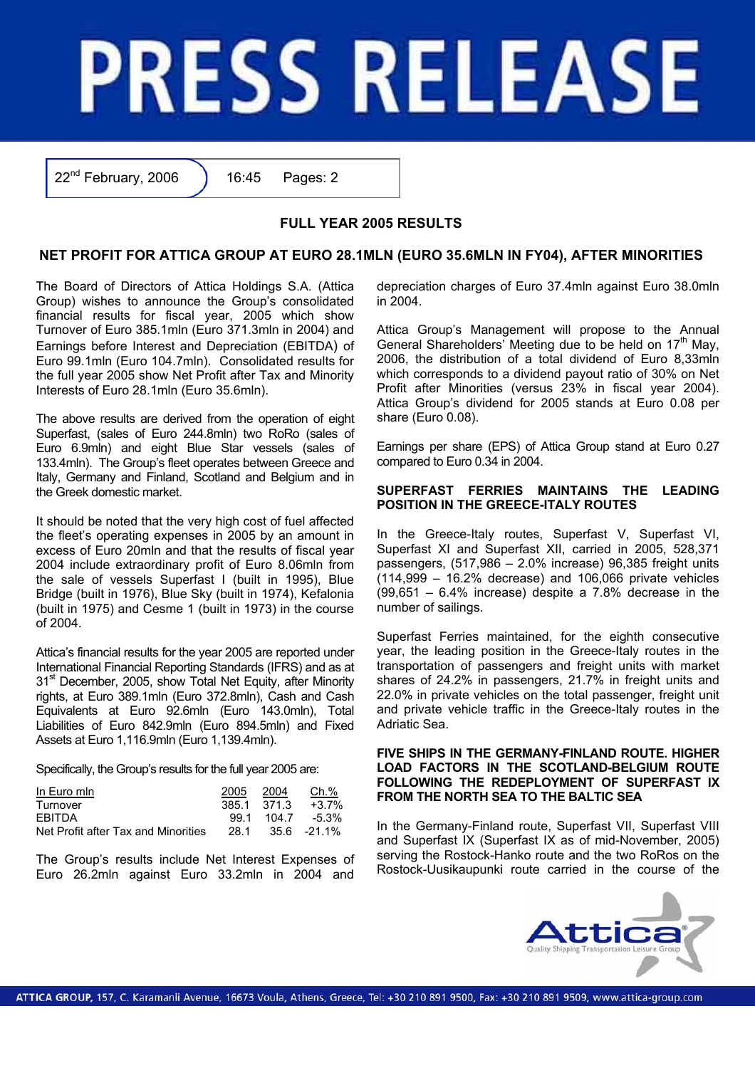# **PRESS RELEASE**

 $22<sup>nd</sup>$  February, 2006 ) 16:45 Pages: 2

## **FULL YEAR 2005 RESULTS**

# **NET PROFIT FOR ATTICA GROUP AT EURO 28.1MLN (EURO 35.6MLN IN FY04), AFTER MINORITIES**

The Board of Directors of Attica Holdings S.A. (Attica Group) wishes to announce the Group's consolidated financial results for fiscal year, 2005 which show Turnover of Euro 385.1mln (Euro 371.3mln in 2004) and Earnings before Interest and Depreciation (EBITDA) of Euro 99.1mln (Euro 104.7mln). Consolidated results for the full year 2005 show Net Profit after Tax and Minority Interests of Euro 28.1mln (Euro 35.6mln).

The above results are derived from the operation of eight Superfast, (sales of Euro 244.8mln) two RoRo (sales of Euro 6.9mln) and eight Blue Star vessels (sales of 133.4mln). The Group's fleet operates between Greece and Italy, Germany and Finland, Scotland and Belgium and in the Greek domestic market.

It should be noted that the very high cost of fuel affected the fleet's operating expenses in 2005 by an amount in excess of Euro 20mln and that the results of fiscal year 2004 include extraordinary profit of Euro 8.06mln from the sale of vessels Superfast I (built in 1995), Blue Bridge (built in 1976), Blue Sky (built in 1974), Kefalonia (built in 1975) and Cesme 1 (built in 1973) in the course of 2004.

Attica's financial results for the year 2005 are reported under International Financial Reporting Standards (IFRS) and as at 31<sup>st</sup> December, 2005, show Total Net Equity, after Minority rights, at Euro 389.1mln (Euro 372.8mln), Cash and Cash Equivalents at Euro 92.6mln (Euro 143.0mln), Total Liabilities of Euro 842.9mln (Euro 894.5mln) and Fixed Assets at Euro 1,116.9mln (Euro 1,139.4mln).

Specifically, the Group's results for the full year 2005 are:

| In Euro min                         | 2005        | 2004 | Ch.%                    |
|-------------------------------------|-------------|------|-------------------------|
| Turnover                            | 385.1 371.3 |      | +3.7%                   |
| <b>FRITDA</b>                       |             |      | $99.1$ $104.7$ $-5.3\%$ |
| Net Profit after Tax and Minorities | 28.1        |      | 35.6 -21.1%             |

The Group's results include Net Interest Expenses of Euro 26.2mln against Euro 33.2mln in 2004 and depreciation charges of Euro 37.4mln against Euro 38.0mln  $in$  2004

Attica Group's Management will propose to the Annual General Shareholders' Meeting due to be held on 17<sup>th</sup> May, 2006, the distribution of a total dividend of Euro 8,33mln which corresponds to a dividend payout ratio of 30% on Net Profit after Minorities (versus 23% in fiscal year 2004). Attica Group's dividend for 2005 stands at Euro 0.08 per share (Euro 0.08).

Earnings per share (EPS) of Attica Group stand at Euro 0.27 compared to Euro 0.34 in 2004.

### **SUPERFAST FERRIES MAINTAINS THE LEADING POSITION IN THE GREECE-ITALY ROUTES**

In the Greece-Italy routes, Superfast V, Superfast VI, Superfast XI and Superfast XII, carried in 2005, 528,371 passengers, (517,986 – 2.0% increase) 96,385 freight units (114,999 – 16.2% decrease) and 106,066 private vehicles  $(99.651 - 6.4\%$  increase) despite a 7.8% decrease in the number of sailings.

Superfast Ferries maintained, for the eighth consecutive year, the leading position in the Greece-Italy routes in the transportation of passengers and freight units with market shares of 24.2% in passengers, 21.7% in freight units and 22.0% in private vehicles on the total passenger, freight unit and private vehicle traffic in the Greece-Italy routes in the Adriatic Sea.

### **FIVE SHIPS IN THE GERMANY-FINLAND ROUTE. HIGHER LOAD FACTORS IN THE SCOTLAND-BELGIUM ROUTE FOLLOWING THE REDEPLOYMENT OF SUPERFAST IX FROM THE NORTH SEA TO THE BALTIC SEA**

In the Germany-Finland route, Superfast VII, Superfast VIII and Superfast IX (Superfast IX as of mid-November, 2005) serving the Rostock-Hanko route and the two RoRos on the Rostock-Uusikaupunki route carried in the course of the